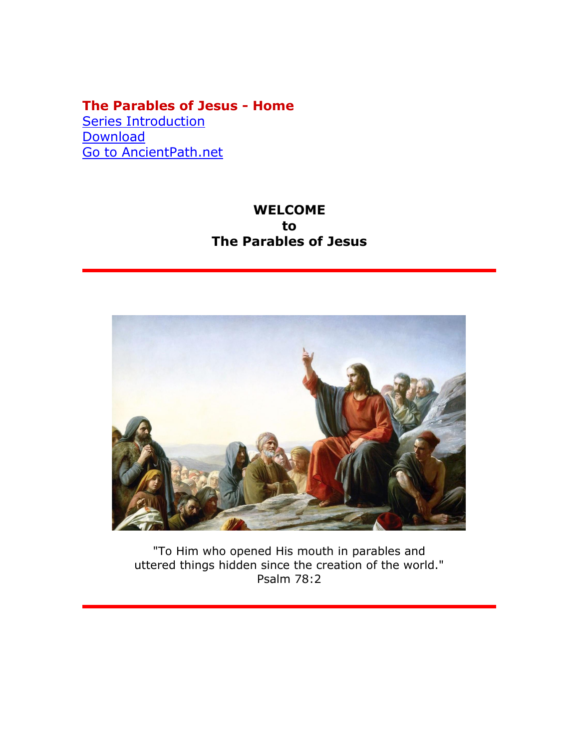## **The Parables of Jesus - Home**

**[Series Introduction](000c_TheParablesOfJesus_Intro.htm) [Download](000b_TheParablesOfJesus_Home.pdf)** [Go](../../../index.html) [to AncientPath.net](../../../index.html)

## **WELCOME to The Parables of Jesus**



"To Him who opened His mouth in parables and uttered things hidden since the creation of the world." Psalm 78:2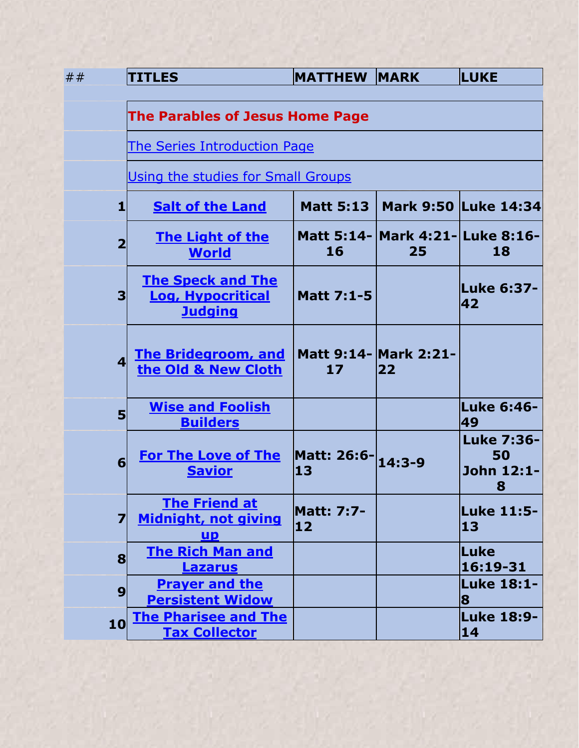| ##                      | <b>TITLES</b>                                                          | <b>MATTHEW MARK</b>     |                                        | <b>LUKE</b>                                |  |
|-------------------------|------------------------------------------------------------------------|-------------------------|----------------------------------------|--------------------------------------------|--|
|                         | <b>The Parables of Jesus Home Page</b>                                 |                         |                                        |                                            |  |
|                         | <b>The Series Introduction Page</b>                                    |                         |                                        |                                            |  |
|                         | Using the studies for Small Groups                                     |                         |                                        |                                            |  |
| 1                       | <b>Salt of the Land</b>                                                | <b>Matt 5:13</b>        |                                        | Mark 9:50 Luke 14:34                       |  |
| $\overline{2}$          | <b>The Light of the</b><br><b>World</b>                                | 16                      | Matt 5:14- Mark 4:21- Luke 8:16-<br>25 | 18                                         |  |
| 3                       | <b>The Speck and The</b><br><b>Log, Hypocritical</b><br><b>Judging</b> | <b>Matt 7:1-5</b>       |                                        | lLuke 6:37-<br>42                          |  |
| $\overline{\mathbf{A}}$ | <b>The Bridegroom, and</b><br>the Old & New Cloth                      | 17                      | <b>Matt 9:14- Mark 2:21-</b><br>22     |                                            |  |
| 5                       | <b>Wise and Foolish</b><br><b>Builders</b>                             |                         |                                        | Luke 6:46-<br>49                           |  |
| 6                       | <b>For The Love of The</b><br><b>Savior</b>                            | Matt: 26:6-14:3-9<br>13 |                                        | <b>Luke 7:36-</b><br>50<br>John 12:1-<br>8 |  |
| 7                       | <b>The Friend at</b><br><b>Midnight, not giving</b><br>UP              | <b>Matt: 7:7-</b><br>12 |                                        | <b>Luke 11:5-</b><br>13                    |  |
| 8                       | <b>The Rich Man and</b><br><b>Lazarus</b>                              |                         |                                        | Luke<br>16:19-31                           |  |
| 9                       | <b>Prayer and the</b><br><b>Persistent Widow</b>                       |                         |                                        | Luke 18:1-<br>8                            |  |
| 10                      | <b>The Pharisee and The</b><br><b>Tax Collector</b>                    |                         |                                        | <b>Luke 18:9-</b><br>14                    |  |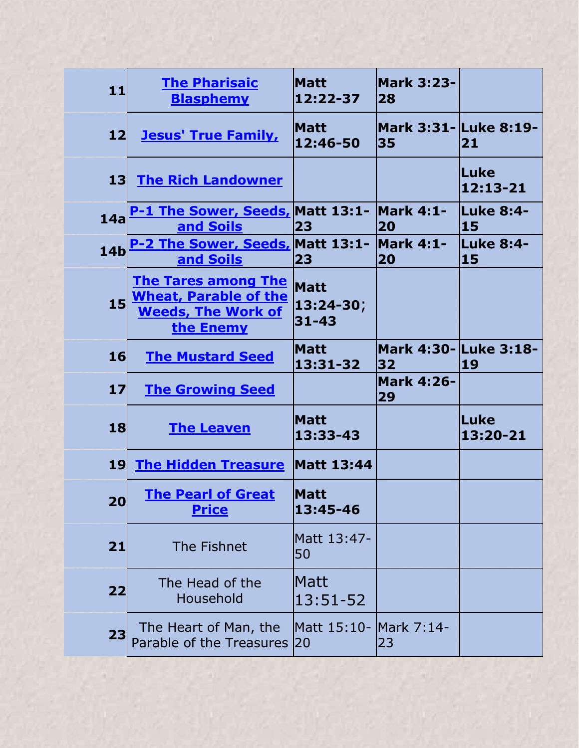| 11              | <b>The Pharisaic</b><br><b>Blasphemy</b>                                                             | <b>Matt</b><br>12:22-37               | <b>Mark 3:23-</b><br>28     |                             |
|-----------------|------------------------------------------------------------------------------------------------------|---------------------------------------|-----------------------------|-----------------------------|
| 12              | <b>Jesus' True Family,</b>                                                                           | <b>Matt</b><br>12:46-50               | Mark 3:31- Luke 8:19-<br>35 | 21                          |
| 13 <sub>l</sub> | <b>The Rich Landowner</b>                                                                            |                                       |                             | <b>Luke</b><br>$12:13 - 21$ |
| 14a             | <b>1 The Sower, Seeds, Matt 13:1- Mark 4:1-</b><br>and Soils                                         | 23                                    | 20                          | <b>Luke 8:4-</b><br>15      |
| 14 <sub>b</sub> | P-2 The Sower, Seeds, Matt 13:1- Mark 4:1-<br>and Soils                                              | 23                                    | 20                          | <b>Luke 8:4-</b><br>15      |
| 15              | <b>The Tares among The</b><br><b>Wheat, Parable of the</b><br><b>Weeds, The Work of</b><br>the Enemy | <b>Matt</b><br>13:24-30;<br>$31 - 43$ |                             |                             |
| 16              | <b>The Mustard Seed</b>                                                                              | <b>Matt</b><br>13:31-32               | 32                          | 19                          |
|                 |                                                                                                      |                                       | <b>Mark 4:26-</b>           |                             |
| 17 <sup>1</sup> | <b>The Growing Seed</b>                                                                              |                                       | 29                          |                             |
| 18              | <b>The Leaven</b>                                                                                    | <b>Matt</b><br>13:33-43               |                             | lLuke<br>13:20-21           |
| <b>19</b>       | <b>The Hidden Treasure</b>                                                                           | <b>Matt 13:44</b>                     |                             |                             |
| 20              | <b>The Pearl of Great</b><br><b>Price</b>                                                            | <b>Matt</b><br>13:45-46               |                             |                             |
| 21              | The Fishnet                                                                                          | Matt 13:47-<br>50                     |                             |                             |
| 22              | The Head of the<br>Household                                                                         | Matt<br>13:51-52                      |                             |                             |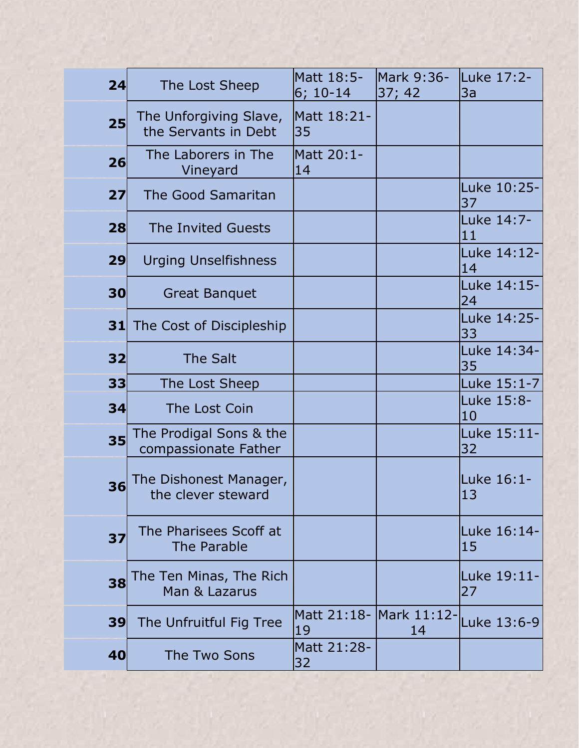| 24 | The Lost Sheep                                  | Matt 18:5-<br>$6; 10-14$       | Mark 9:36-<br>37; 42 | Luke 17:2-<br>3a  |
|----|-------------------------------------------------|--------------------------------|----------------------|-------------------|
| 25 | The Unforgiving Slave,<br>the Servants in Debt  | Matt 18:21-<br> 35             |                      |                   |
| 26 | The Laborers in The<br>Vineyard                 | Matt 20:1-<br>14               |                      |                   |
| 27 | <b>The Good Samaritan</b>                       |                                |                      | Luke 10:25-<br>37 |
| 28 | The Invited Guests                              |                                |                      | Luke 14:7-<br>11  |
| 29 | <b>Urging Unselfishness</b>                     |                                |                      | Luke 14:12-<br>14 |
| 30 | <b>Great Banquet</b>                            |                                |                      | Luke 14:15-<br>24 |
|    | <b>31</b> The Cost of Discipleship              |                                |                      | Luke 14:25-<br>33 |
| 32 | <b>The Salt</b>                                 |                                |                      | Luke 14:34-<br>35 |
| 33 | The Lost Sheep                                  |                                |                      | Luke 15:1-7       |
| 34 | The Lost Coin                                   |                                |                      | Luke 15:8-<br>10  |
| 35 | The Prodigal Sons & the<br>compassionate Father |                                |                      | Luke 15:11-<br>32 |
| 36 | The Dishonest Manager,<br>the clever steward    |                                |                      | Luke 16:1-<br>13  |
| 37 | The Pharisees Scoff at<br>The Parable           |                                |                      | Luke 16:14-<br>15 |
| 38 | The Ten Minas, The Rich<br>Man & Lazarus        |                                |                      | Luke 19:11-<br>27 |
| 39 | The Unfruitful Fig Tree                         | Matt 21:18- Mark 11:12-<br> 19 | 14                   | Luke 13:6-9       |
| 40 | The Two Sons                                    | Matt 21:28-<br>32              |                      |                   |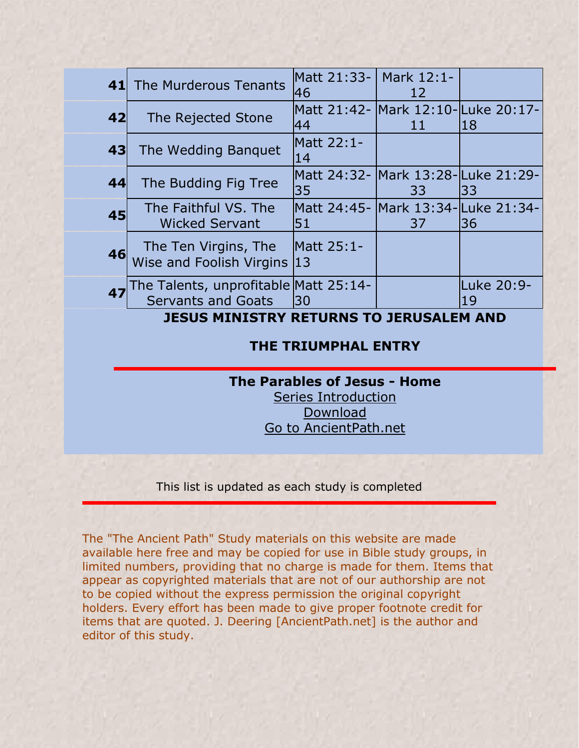|                                                | 41 The Murderous Tenants                                           | lMatt 21:33- l Mark 12:1-<br>46           | 12                                       |                  |
|------------------------------------------------|--------------------------------------------------------------------|-------------------------------------------|------------------------------------------|------------------|
| 42                                             | The Rejected Stone                                                 | Matt 21:42- Mark 12:10-Luke 20:17-<br>44  | 11                                       | 18               |
| 43                                             | The Wedding Banguet                                                | Matt 22:1-<br>14                          |                                          |                  |
| 44                                             | The Budding Fig Tree                                               | 35                                        | Matt 24:32- Mark 13:28-Luke 21:29-<br>33 | l33              |
| 45                                             | The Faithful VS. The<br><b>Wicked Servant</b>                      | Matt 24:45- Mark 13:34-lLuke 21:34-<br>51 | 37                                       | 136              |
| 46                                             | The Ten Virgins, The<br>Wise and Foolish Virgins                   | Matt 25:1-<br>13                          |                                          |                  |
| 47                                             | The Talents, unprofitable Matt 25:14-<br><b>Servants and Goats</b> | 30                                        |                                          | Luke 20:9-<br>19 |
| <b>JESUS MINISTRY RETURNS TO JERUSALEM AND</b> |                                                                    |                                           |                                          |                  |

## **THE TRIUMPHAL ENTRY**

## **The Parables of Jesus - Home**

[Series Introduction](000c_TheParablesOfJesus_Intro.htm) [Download](000b_TheParablesOfJesus_Home.pdf) [Go](../../../index.html) [to AncientPath.net](../../../index.html)

This list is updated as each study is completed

The "The Ancient Path" Study materials on this website are made available here free and may be copied for use in Bible study groups, in limited numbers, providing that no charge is made for them. Items that appear as copyrighted materials that are not of our authorship are not to be copied without the express permission the original copyright holders. Every effort has been made to give proper footnote credit for items that are quoted. J. Deering [AncientPath.net] is the author and editor of this study.